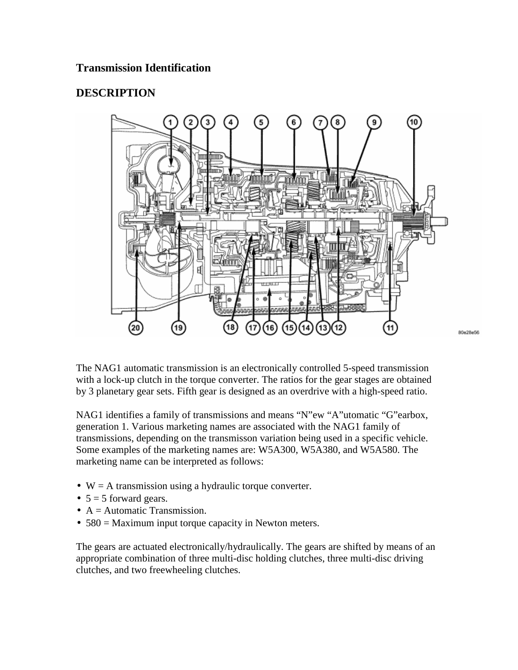#### **Transmission Identification**

#### **DESCRIPTION**



The NAG1 automatic transmission is an electronically controlled 5-speed transmission with a lock-up clutch in the torque converter. The ratios for the gear stages are obtained by 3 planetary gear sets. Fifth gear is designed as an overdrive with a high-speed ratio.

NAG1 identifies a family of transmissions and means "N"ew "A"utomatic "G"earbox, generation 1. Various marketing names are associated with the NAG1 family of transmissions, depending on the transmisson variation being used in a specific vehicle. Some examples of the marketing names are: W5A300, W5A380, and W5A580. The marketing name can be interpreted as follows:

- $W = A$  transmission using a hydraulic torque converter.
- $5 = 5$  forward gears.
- $A =$  Automatic Transmission.
- 580 = Maximum input torque capacity in Newton meters.

The gears are actuated electronically/hydraulically. The gears are shifted by means of an appropriate combination of three multi-disc holding clutches, three multi-disc driving clutches, and two freewheeling clutches.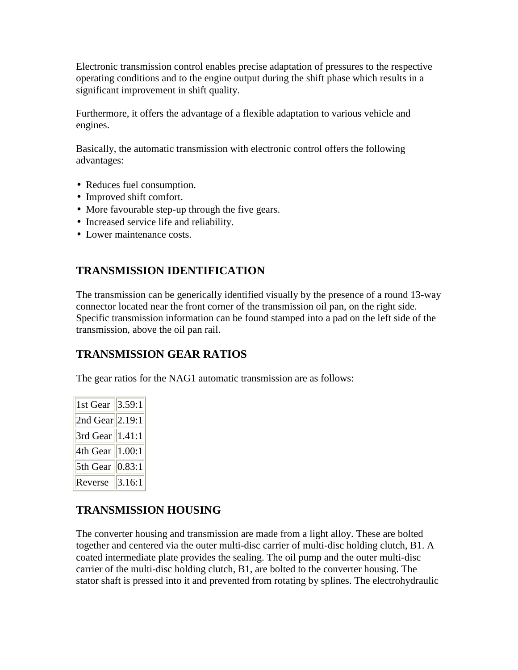Electronic transmission control enables precise adaptation of pressures to the respective operating conditions and to the engine output during the shift phase which results in a significant improvement in shift quality.

Furthermore, it offers the advantage of a flexible adaptation to various vehicle and engines.

Basically, the automatic transmission with electronic control offers the following advantages:

- Reduces fuel consumption.
- Improved shift comfort.
- More favourable step-up through the five gears.
- Increased service life and reliability.
- Lower maintenance costs.

## **TRANSMISSION IDENTIFICATION**

The transmission can be generically identified visually by the presence of a round 13-way connector located near the front corner of the transmission oil pan, on the right side. Specific transmission information can be found stamped into a pad on the left side of the transmission, above the oil pan rail.

#### **TRANSMISSION GEAR RATIOS**

The gear ratios for the NAG1 automatic transmission are as follows:

| 1st Gear $\ 3.59:1$ |        |
|---------------------|--------|
| 2nd Gear $  2.19:1$ |        |
| 3rd Gear   1.41:1   |        |
| 4th Gear   1.00:1   |        |
| 5th Gear   0.83:1   |        |
| Reverse             | 3.16:1 |

## **TRANSMISSION HOUSING**

The converter housing and transmission are made from a light alloy. These are bolted together and centered via the outer multi-disc carrier of multi-disc holding clutch, B1. A coated intermediate plate provides the sealing. The oil pump and the outer multi-disc carrier of the multi-disc holding clutch, B1, are bolted to the converter housing. The stator shaft is pressed into it and prevented from rotating by splines. The electrohydraulic